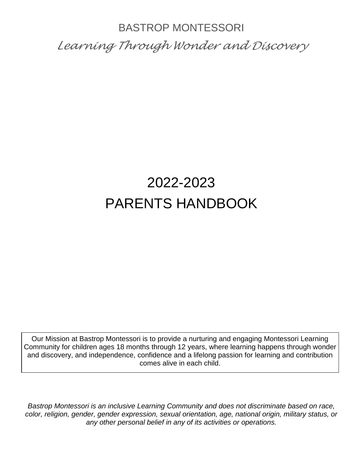# BASTROP MONTESSORI *Learning Through Wonder and Discovery*

# 2022-2023 PARENTS HANDBOOK

Our Mission at Bastrop Montessori is to provide a nurturing and engaging Montessori Learning Community for children ages 18 months through 12 years, where learning happens through wonder and discovery, and independence, confidence and a lifelong passion for learning and contribution comes alive in each child.

*Bastrop Montessori is an inclusive Learning Community and does not discriminate based on race, color, religion, gender, gender expression, sexual orientation, age, national origin, military status, or any other personal belief in any of its activities or operations.*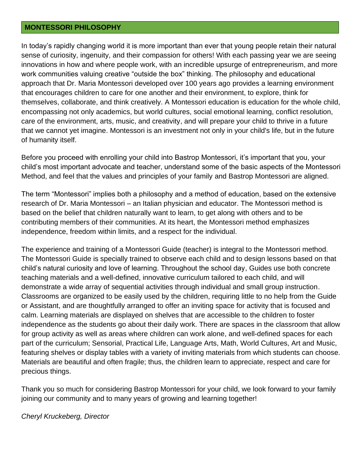#### **MONTESSORI PHILOSOPHY**

In today's rapidly changing world it is more important than ever that young people retain their natural sense of curiosity, ingenuity, and their compassion for others! With each passing year we are seeing innovations in how and where people work, with an incredible upsurge of entrepreneurism, and more work communities valuing creative "outside the box" thinking. The philosophy and educational approach that Dr. Maria Montessori developed over 100 years ago provides a learning environment that encourages children to care for one another and their environment, to explore, think for themselves, collaborate, and think creatively. A Montessori education is education for the whole child, encompassing not only academics, but world cultures, social emotional learning, conflict resolution, care of the environment, arts, music, and creativity, and will prepare your child to thrive in a future that we cannot yet imagine. Montessori is an investment not only in your child's life, but in the future of humanity itself.

Before you proceed with enrolling your child into Bastrop Montessori, it's important that you, your child's most important advocate and teacher, understand some of the basic aspects of the Montessori Method, and feel that the values and principles of your family and Bastrop Montessori are aligned.

The term "Montessori" implies both a philosophy and a method of education, based on the extensive research of Dr. Maria Montessori – an Italian physician and educator. The Montessori method is based on the belief that children naturally want to learn, to get along with others and to be contributing members of their communities. At its heart, the Montessori method emphasizes independence, freedom within limits, and a respect for the individual.

The experience and training of a Montessori Guide (teacher) is integral to the Montessori method. The Montessori Guide is specially trained to observe each child and to design lessons based on that child's natural curiosity and love of learning. Throughout the school day, Guides use both concrete teaching materials and a well-defined, innovative curriculum tailored to each child, and will demonstrate a wide array of sequential activities through individual and small group instruction. Classrooms are organized to be easily used by the children, requiring little to no help from the Guide or Assistant, and are thoughtfully arranged to offer an inviting space for activity that is focused and calm. Learning materials are displayed on shelves that are accessible to the children to foster independence as the students go about their daily work. There are spaces in the classroom that allow for group activity as well as areas where children can work alone, and well-defined spaces for each part of the curriculum; Sensorial, Practical Life, Language Arts, Math, World Cultures, Art and Music, featuring shelves or display tables with a variety of inviting materials from which students can choose. Materials are beautiful and often fragile; thus, the children learn to appreciate, respect and care for precious things.

Thank you so much for considering Bastrop Montessori for your child, we look forward to your family joining our community and to many years of growing and learning together!

### *Cheryl Kruckeberg, Director*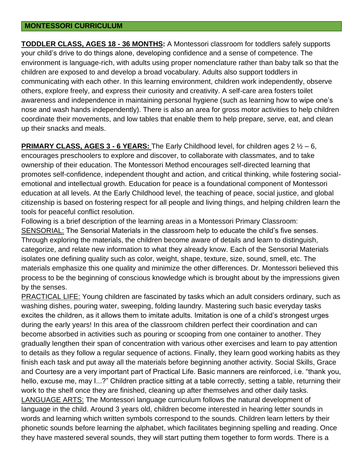#### **MONTESSORI CURRICULUM**

**TODDLER CLASS, AGES 18 - 36 MONTHS:** A Montessori classroom for toddlers safely supports your child's drive to do things alone, developing confidence and a sense of competence. The environment is language-rich, with adults using proper nomenclature rather than baby talk so that the children are exposed to and develop a broad vocabulary. Adults also support toddlers in communicating with each other. In this learning environment, children work independently, observe others, explore freely, and express their curiosity and creativity. A self-care area fosters toilet awareness and independence in maintaining personal hygiene (such as learning how to wipe one's nose and wash hands independently). There is also an area for gross motor activities to help children coordinate their movements, and low tables that enable them to help prepare, serve, eat, and clean up their snacks and meals.

## **PRIMARY CLASS, AGES 3 - 6 YEARS:** The Early Childhood level, for children ages 2  $\frac{1}{2}$  – 6,

encourages preschoolers to explore and discover, to collaborate with classmates, and to take ownership of their education. The Montessori Method encourages self-directed learning that promotes self-confidence, independent thought and action, and critical thinking, while fostering socialemotional and intellectual growth. Education for peace is a foundational component of Montessori education at all levels. At the Early Childhood level, the teaching of peace, social justice, and global citizenship is based on fostering respect for all people and living things, and helping children learn the tools for peaceful conflict resolution.

Following is a brief description of the learning areas in a Montessori Primary Classroom: SENSORIAL: The Sensorial Materials in the classroom help to educate the child's five senses. Through exploring the materials, the children become aware of details and learn to distinguish, categorize, and relate new information to what they already know. Each of the Sensorial Materials isolates one defining quality such as color, weight, shape, texture, size, sound, smell, etc. The materials emphasize this one quality and minimize the other differences. Dr. Montessori believed this process to be the beginning of conscious knowledge which is brought about by the impressions given by the senses.

PRACTICAL LIFE: Young children are fascinated by tasks which an adult considers ordinary, such as washing dishes, pouring water, sweeping, folding laundry. Mastering such basic everyday tasks excites the children, as it allows them to imitate adults. Imitation is one of a child's strongest urges during the early years! In this area of the classroom children perfect their coordination and can become absorbed in activities such as pouring or scooping from one container to another. They gradually lengthen their span of concentration with various other exercises and learn to pay attention to details as they follow a regular sequence of actions. Finally, they learn good working habits as they finish each task and put away all the materials before beginning another activity. Social Skills, Grace and Courtesy are a very important part of Practical Life. Basic manners are reinforced, i.e. "thank you, hello, excuse me, may I...?" Children practice sitting at a table correctly, setting a table, returning their work to the shelf once they are finished, cleaning up after themselves and other daily tasks. LANGUAGE ARTS: The Montessori language curriculum follows the natural development of language in the child. Around 3 years old, children become interested in hearing letter sounds in words and learning which written symbols correspond to the sounds. Children learn letters by their phonetic sounds before learning the alphabet, which facilitates beginning spelling and reading. Once they have mastered several sounds, they will start putting them together to form words. There is a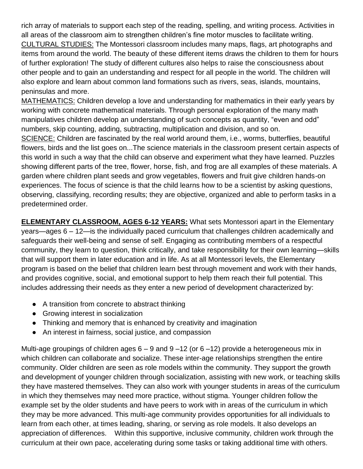rich array of materials to support each step of the reading, spelling, and writing process. Activities in all areas of the classroom aim to strengthen children's fine motor muscles to facilitate writing. CULTURAL STUDIES: The Montessori classroom includes many maps, flags, art photographs and items from around the world. The beauty of these different items draws the children to them for hours of further exploration! The study of different cultures also helps to raise the consciousness about other people and to gain an understanding and respect for all people in the world. The children will also explore and learn about common land formations such as rivers, seas, islands, mountains, peninsulas and more.

MATHEMATICS: Children develop a love and understanding for mathematics in their early years by working with concrete mathematical materials. Through personal exploration of the many math manipulatives children develop an understanding of such concepts as quantity, "even and odd" numbers, skip counting, adding, subtracting, multiplication and division, and so on.

SCIENCE: Children are fascinated by the real world around them, i.e., worms, butterflies, beautiful flowers, birds and the list goes on...The science materials in the classroom present certain aspects of this world in such a way that the child can observe and experiment what they have learned. Puzzles showing different parts of the tree, flower, horse, fish, and frog are all examples of these materials. A garden where children plant seeds and grow vegetables, flowers and fruit give children hands-on experiences. The focus of science is that the child learns how to be a scientist by asking questions, observing, classifying, recording results; they are objective, organized and able to perform tasks in a predetermined order.

**ELEMENTARY CLASSROOM, AGES 6-12 YEARS:** What sets Montessori apart in the Elementary years—ages 6 – 12—is the individually paced curriculum that challenges children academically and safeguards their well-being and sense of self. Engaging as contributing members of a respectful community, they learn to question, think critically, and take responsibility for their own learning—skills that will support them in later education and in life. As at all Montessori levels, the Elementary program is based on the belief that children learn best through movement and work with their hands, and provides cognitive, social, and emotional support to help them reach their full potential. This includes addressing their needs as they enter a new period of development characterized by:

- A transition from concrete to abstract thinking
- Growing interest in socialization
- Thinking and memory that is enhanced by creativity and imagination
- An interest in fairness, social justice, and compassion

Multi-age groupings of children ages  $6 - 9$  and  $9 - 12$  (or  $6 - 12$ ) provide a heterogeneous mix in which children can collaborate and socialize. These inter-age relationships strengthen the entire community. Older children are seen as role models within the community. They support the growth and development of younger children through socialization, assisting with new work, or teaching skills they have mastered themselves. They can also work with younger students in areas of the curriculum in which they themselves may need more practice, without stigma. Younger children follow the example set by the older students and have peers to work with in areas of the curriculum in which they may be more advanced. This multi-age community provides opportunities for all individuals to learn from each other, at times leading, sharing, or serving as role models. It also develops an appreciation of differences. Within this supportive, inclusive community, children work through the curriculum at their own pace, accelerating during some tasks or taking additional time with others.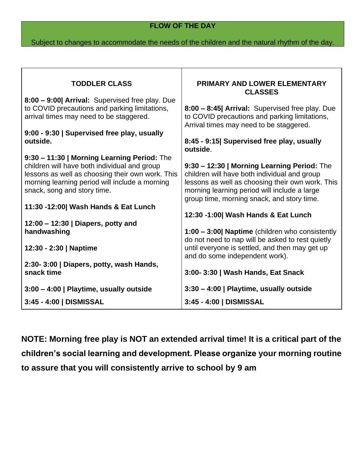# **FLOW OF THE DAY**

## Subject to changes to accommodate the needs of the children and the natural rhythm of the day.

Т

Г

| <b>TODDLER CLASS</b>                                                                                                                                                              | <b>PRIMARY AND LOWER ELEMENTARY</b>                                                                                                                                                                                                           |
|-----------------------------------------------------------------------------------------------------------------------------------------------------------------------------------|-----------------------------------------------------------------------------------------------------------------------------------------------------------------------------------------------------------------------------------------------|
|                                                                                                                                                                                   | <b>CLASSES</b>                                                                                                                                                                                                                                |
| 8:00 - 9:00  Arrival: Supervised free play. Due<br>to COVID precautions and parking limitations,<br>arrival times may need to be staggered.                                       | 8:00 - 8:45  Arrival: Supervised free play. Due<br>to COVID precautions and parking limitations,<br>Arrival times may need to be staggered.                                                                                                   |
| 9:00 - 9:30   Supervised free play, usually                                                                                                                                       |                                                                                                                                                                                                                                               |
| outside.                                                                                                                                                                          | 8:45 - 9:15  Supervised free play, usually<br>outside.                                                                                                                                                                                        |
| 9:30 - 11:30   Morning Learning Period: The                                                                                                                                       |                                                                                                                                                                                                                                               |
| children will have both individual and group<br>lessons as well as choosing their own work. This<br>morning learning period will include a morning<br>snack, song and story time. | 9:30 - 12:30   Morning Learning Period: The<br>children will have both individual and group<br>lessons as well as choosing their own work. This<br>morning learning period will include a large<br>group time, morning snack, and story time. |
| 11:30 -12:00 Wash Hands & Eat Lunch                                                                                                                                               |                                                                                                                                                                                                                                               |
|                                                                                                                                                                                   | 12:30 -1:00  Wash Hands & Eat Lunch                                                                                                                                                                                                           |
| 12:00 - 12:30   Diapers, potty and                                                                                                                                                |                                                                                                                                                                                                                                               |
| handwashing                                                                                                                                                                       | 1:00 - 3:00  Naptime (children who consistently                                                                                                                                                                                               |
| 12:30 - 2:30   Naptime                                                                                                                                                            | do not need to nap will be asked to rest quietly<br>until everyone is settled, and then may get up<br>and do some independent work).                                                                                                          |
| 2:30-3:00   Diapers, potty, wash Hands,                                                                                                                                           |                                                                                                                                                                                                                                               |
| snack time                                                                                                                                                                        | 3:00-3:30   Wash Hands, Eat Snack                                                                                                                                                                                                             |
| 3:00 - 4:00   Playtime, usually outside                                                                                                                                           | 3:30 - 4:00   Playtime, usually outside                                                                                                                                                                                                       |
| 3:45 - 4:00   DISMISSAL                                                                                                                                                           | 3:45 - 4:00   DISMISSAL                                                                                                                                                                                                                       |

**NOTE: Morning free play is NOT an extended arrival time! It is a critical part of the children's social learning and development. Please organize your morning routine to assure that you will consistently arrive to school by 9 am**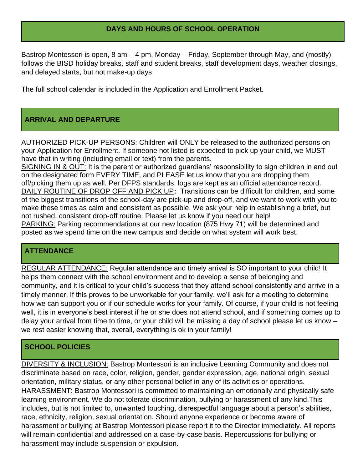## **DAYS AND HOURS OF SCHOOL OPERATION**

Bastrop Montessori is open, 8 am – 4 pm, Monday – Friday, September through May, and (mostly) follows the BISD holiday breaks, staff and student breaks, staff development days, weather closings, and delayed starts, but not make-up days

The full school calendar is included in the Application and Enrollment Packet.

# **ARRIVAL AND DEPARTURE**

AUTHORIZED PICK-UP PERSONS: Children will ONLY be released to the authorized persons on your Application for Enrollment. If someone not listed is expected to pick up your child, we MUST have that in writing (including email or text) from the parents.

SIGNING IN & OUT: It is the parent or authorized guardians' responsibility to sign children in and out on the designated form EVERY TIME, and PLEASE let us know that you are dropping them off/picking them up as well. Per DFPS standards, logs are kept as an official attendance record. DAILY ROUTINE OF DROP OFF AND PICK UP**:** Transitions can be difficult for children, and some of the biggest transitions of the school-day are pick-up and drop-off, and we want to work with you to make these times as calm and consistent as possible. We ask your help in establishing a brief, but not rushed, consistent drop-off routine. Please let us know if you need our help! PARKING: Parking recommendations at our new location (875 Hwy 71) will be determined and posted as we spend time on the new campus and decide on what system will work best.

## **ATTENDANCE**

REGULAR ATTENDANCE: Regular attendance and timely arrival is SO important to your child! It helps them connect with the school environment and to develop a sense of belonging and community, and it is critical to your child's success that they attend school consistently and arrive in a timely manner. If this proves to be unworkable for your family, we'll ask for a meeting to determine how we can support you or if our schedule works for your family. Of course, if your child is not feeling well, it is in everyone's best interest if he or she does not attend school, and if something comes up to delay your arrival from time to time, or your child will be missing a day of school please let us know – we rest easier knowing that, overall, everything is ok in your family!

## **SCHOOL POLICIES**

DIVERSITY & INCLUSION: Bastrop Montessori is an inclusive Learning Community and does not discriminate based on race, color, religion, gender, gender expression, age, national origin, sexual orientation, military status, or any other personal belief in any of its activities or operations. HARASSMENT: Bastrop Montessori is committed to maintaining an emotionally and physically safe learning environment. We do not tolerate discrimination, bullying or harassment of any kind.This includes, but is not limited to, unwanted touching, disrespectful language about a person's abilities, race, ethnicity, religion, sexual orientation. Should anyone experience or become aware of harassment or bullying at Bastrop Montessori please report it to the Director immediately. All reports will remain confidential and addressed on a case-by-case basis. Repercussions for bullying or harassment may include suspension or expulsion.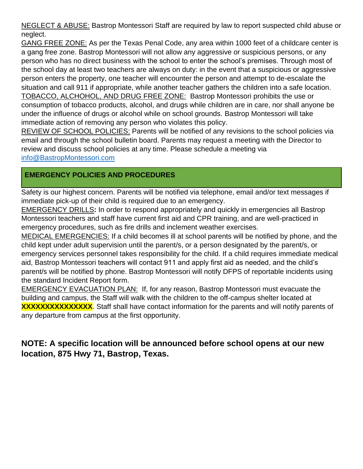NEGLECT & ABUSE: Bastrop Montessori Staff are required by law to report suspected child abuse or neglect.

GANG FREE ZONE: As per the Texas Penal Code, any area within 1000 feet of a childcare center is a gang free zone. Bastrop Montessori will not allow any aggressive or suspicious persons, or any person who has no direct business with the school to enter the school's premises. Through most of the school day at least two teachers are always on duty: in the event that a suspicious or aggressive person enters the property, one teacher will encounter the person and attempt to de-escalate the situation and call 911 if appropriate, while another teacher gathers the children into a safe location. TOBACCO, ALCHOHOL, AND DRUG FREE ZONE:Bastrop Montessori prohibits the use or consumption of tobacco products, alcohol, and drugs while children are in care, nor shall anyone be under the influence of drugs or alcohol while on school grounds. Bastrop Montessori will take immediate action of removing any person who violates this policy.

REVIEW OF SCHOOL POLICIES: Parents will be notified of any revisions to the school policies via email and through the school bulletin board. Parents may request a meeting with the Director to review and discuss school policies at any time. Please schedule a meeting via [info@BastropMontessori.com](mailto:info@BastropMontessori.com)

# **EMERGENCY POLICIES AND PROCEDURES**

Safety is our highest concern. Parents will be notified via telephone, email and/or text messages if immediate pick-up of their child is required due to an emergency.

EMERGENCY DRILLS**:** In order to respond appropriately and quickly in emergencies all Bastrop Montessori teachers and staff have current first aid and CPR training, and are well-practiced in emergency procedures, such as fire drills and inclement weather exercises.

MEDICAL EMERGENCIES: If a child becomes ill at school parents will be notified by phone, and the child kept under adult supervision until the parent/s, or a person designated by the parent/s, or emergency services personnel takes responsibility for the child. If a child requires immediate medical aid, Bastrop Montessori teachers will contact 911 and apply first aid as needed, and the child's parent/s will be notified by phone. Bastrop Montessori will notify DFPS of reportable incidents using the standard Incident Report form.

EMERGENCY EVACUATION PLAN: If, for any reason, Bastrop Montessori must evacuate the building and campus, the Staff will walk with the children to the off-campus shelter located at **XXXXXXXXXXXXXXX**. Staff shall have contact information for the parents and will notify parents of any departure from campus at the first opportunity.

# **NOTE: A specific location will be announced before school opens at our new location, 875 Hwy 71, Bastrop, Texas.**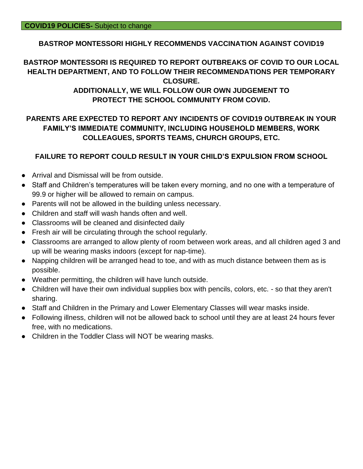## **BASTROP MONTESSORI HIGHLY RECOMMENDS VACCINATION AGAINST COVID19**

# **BASTROP MONTESSORI IS REQUIRED TO REPORT OUTBREAKS OF COVID TO OUR LOCAL HEALTH DEPARTMENT, AND TO FOLLOW THEIR RECOMMENDATIONS PER TEMPORARY CLOSURE.**

## **ADDITIONALLY, WE WILL FOLLOW OUR OWN JUDGEMENT TO PROTECT THE SCHOOL COMMUNITY FROM COVID.**

# **PARENTS ARE EXPECTED TO REPORT ANY INCIDENTS OF COVID19 OUTBREAK IN YOUR FAMILY'S IMMEDIATE COMMUNITY, INCLUDING HOUSEHOLD MEMBERS, WORK COLLEAGUES, SPORTS TEAMS, CHURCH GROUPS, ETC.**

## **FAILURE TO REPORT COULD RESULT IN YOUR CHILD'S EXPULSION FROM SCHOOL**

- Arrival and Dismissal will be from outside.
- Staff and Children's temperatures will be taken every morning, and no one with a temperature of 99.9 or higher will be allowed to remain on campus.
- Parents will not be allowed in the building unless necessary.
- Children and staff will wash hands often and well.
- Classrooms will be cleaned and disinfected daily
- Fresh air will be circulating through the school regularly.
- Classrooms are arranged to allow plenty of room between work areas, and all children aged 3 and up will be wearing masks indoors (except for nap-time).
- Napping children will be arranged head to toe, and with as much distance between them as is possible.
- Weather permitting, the children will have lunch outside.
- Children will have their own individual supplies box with pencils, colors, etc. so that they aren't sharing.
- Staff and Children in the Primary and Lower Elementary Classes will wear masks inside.
- Following illness, children will not be allowed back to school until they are at least 24 hours fever free, with no medications.
- Children in the Toddler Class will NOT be wearing masks.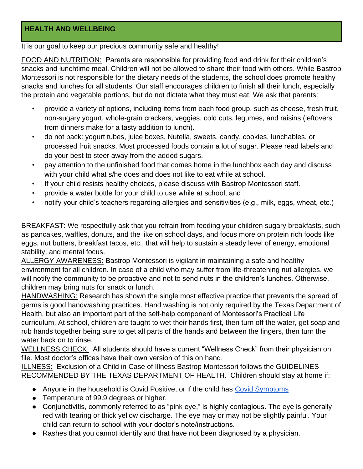# **HEALTH AND WELLBEING**

It is our goal to keep our precious community safe and healthy!

FOOD AND NUTRITION: Parents are responsible for providing food and drink for their children's snacks and lunchtime meal. Children will not be allowed to share their food with others. While Bastrop Montessori is not responsible for the dietary needs of the students, the school does promote healthy snacks and lunches for all students. Our staff encourages children to finish all their lunch, especially the protein and vegetable portions, but do not dictate what they must eat. We ask that parents:

- provide a variety of options, including items from each food group, such as cheese, fresh fruit, non-sugary yogurt, whole-grain crackers, veggies, cold cuts, legumes, and raisins (leftovers from dinners make for a tasty addition to lunch).
- do not pack: yogurt tubes, juice boxes, Nutella, sweets, candy, cookies, lunchables, or processed fruit snacks. Most processed foods contain a lot of sugar. Please read labels and do your best to steer away from the added sugars.
- pay attention to the unfinished food that comes home in the lunchbox each day and discuss with your child what s/he does and does not like to eat while at school.
- If your child resists healthy choices, please discuss with Bastrop Montessori staff.
- provide a water bottle for your child to use while at school, and
- notify your child's teachers regarding allergies and sensitivities (e.g., milk, eggs, wheat, etc.)

BREAKFAST: We respectfully ask that you refrain from feeding your children sugary breakfasts, such as pancakes, waffles, donuts, and the like on school days, and focus more on protein rich foods like eggs, nut butters, breakfast tacos, etc., that will help to sustain a steady level of energy, emotional stability, and mental focus.

ALLERGY AWARENESS: Bastrop Montessori is vigilant in maintaining a safe and healthy environment for all children. In case of a child who may suffer from life-threatening nut allergies, we will notify the community to be proactive and not to send nuts in the children's lunches. Otherwise, children may bring nuts for snack or lunch.

HANDWASHING: Research has shown the single most effective practice that prevents the spread of germs is good handwashing practices. Hand washing is not only required by the Texas Department of Health, but also an important part of the self-help component of Montessori's Practical Life curriculum. At school, children are taught to wet their hands first, then turn off the water, get soap and rub hands together being sure to get all parts of the hands and between the fingers, then turn the water back on to rinse.

WELLNESS CHECK: All students should have a current "Wellness Check" from their physician on file. Most doctor's offices have their own version of this on hand.

ILLNESS: Exclusion of a Child in Case of Illness Bastrop Montessori follows the GUIDELINES RECOMMENDED BY THE TEXAS DEPARTMENT OF HEALTH. Children should stay at home if:

- Anyone in the household is Covid Positive, or if the child has [Covid Symptoms](https://www.cdc.gov/coronavirus/2019-ncov/symptoms-testing/symptoms.html)
- Temperature of 99.9 degrees or higher.
- Conjunctivitis, commonly referred to as "pink eye," is highly contagious. The eye is generally red with tearing or thick yellow discharge. The eye may or may not be slightly painful. Your child can return to school with your doctor's note/instructions.
- Rashes that you cannot identify and that have not been diagnosed by a physician.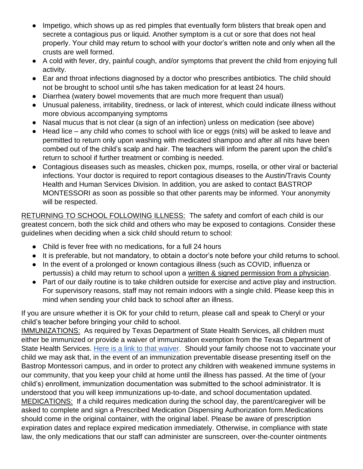- Impetigo, which shows up as red pimples that eventually form blisters that break open and secrete a contagious pus or liquid. Another symptom is a cut or sore that does not heal properly. Your child may return to school with your doctor's written note and only when all the crusts are well formed.
- A cold with fever, dry, painful cough, and/or symptoms that prevent the child from enjoying full activity.
- Ear and throat infections diagnosed by a doctor who prescribes antibiotics. The child should not be brought to school until s/he has taken medication for at least 24 hours.
- Diarrhea (watery bowel movements that are much more frequent than usual)
- Unusual paleness, irritability, tiredness, or lack of interest, which could indicate illness without more obvious accompanying symptoms
- Nasal mucus that is not clear (a sign of an infection) unless on medication (see above)
- Head lice any child who comes to school with lice or eggs (nits) will be asked to leave and permitted to return only upon washing with medicated shampoo and after all nits have been combed out of the child's scalp and hair. The teachers will inform the parent upon the child's return to school if further treatment or combing is needed.
- Contagious diseases such as measles, chicken pox, mumps, rosella, or other viral or bacterial infections. Your doctor is required to report contagious diseases to the Austin/Travis County Health and Human Services Division. In addition, you are asked to contact BASTROP MONTESSORI as soon as possible so that other parents may be informed. Your anonymity will be respected.

RETURNING TO SCHOOL FOLLOWING ILLNESS:The safety and comfort of each child is our greatest concern, both the sick child and others who may be exposed to contagions. Consider these guidelines when deciding when a sick child should return to school:

- Child is fever free with no medications, for a full 24 hours
- It is preferable, but not mandatory, to obtain a doctor's note before your child returns to school.
- In the event of a prolonged or known contagious illness (such as COVID, influenza or pertussis) a child may return to school upon a written & signed permission from a physician.
- Part of our daily routine is to take children outside for exercise and active play and instruction. For supervisory reasons, staff may not remain indoors with a single child. Please keep this in mind when sending your child back to school after an illness.

If you are unsure whether it is OK for your child to return, please call and speak to Cheryl or your child's teacher before bringing your child to school.

IMMUNIZATIONS:As required by Texas Department of State Health Services, all children must either be immunized or provide a waiver of immunization exemption from the Texas Department of State Health Services. [Here is a link to that waiver.](https://www.dshs.texas.gov/immunize/school/exemptions.aspx) Should your family choose not to vaccinate your child we may ask that, in the event of an immunization preventable disease presenting itself on the Bastrop Montessori campus, and in order to protect any children with weakened immune systems in our community, that you keep your child at home until the illness has passed. At the time of (your child's) enrollment, immunization documentation was submitted to the school administrator. It is understood that you will keep immunizations up-to-date, and school documentation updated. MEDICATIONS:If a child requires medication during the school day, the parent/caregiver will be asked to complete and sign a Prescribed Medication Dispensing Authorization form.Medications should come in the original container, with the original label. Please be aware of prescription expiration dates and replace expired medication immediately. Otherwise, in compliance with state law, the only medications that our staff can administer are sunscreen, over-the-counter ointments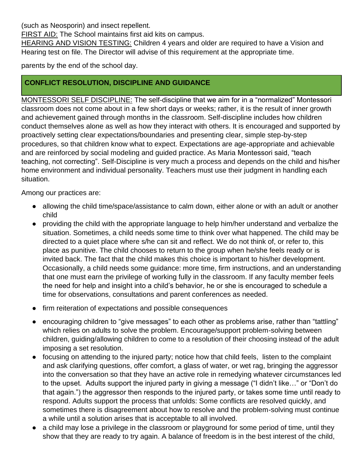(such as Neosporin) and insect repellent.

FIRST AID: The School maintains first aid kits on campus.

HEARING AND VISION TESTING: Children 4 years and older are required to have a Vision and Hearing test on file. The Director will advise of this requirement at the appropriate time.

parents by the end of the school day.

# **CONFLICT RESOLUTION, DISCIPLINE AND GUIDANCE**

MONTESSORI SELF DISCIPLINE: The self-discipline that we aim for in a "normalized" Montessori classroom does not come about in a few short days or weeks; rather, it is the result of inner growth and achievement gained through months in the classroom. Self-discipline includes how children conduct themselves alone as well as how they interact with others. It is encouraged and supported by proactively setting clear expectations/boundaries and presenting clear, simple step-by-step procedures, so that children know what to expect. Expectations are age-appropriate and achievable and are reinforced by social modeling and guided practice. As Maria Montessori said, "teach teaching, not correcting". Self-Discipline is very much a process and depends on the child and his/her home environment and individual personality. Teachers must use their judgment in handling each situation.

Among our practices are:

- allowing the child time/space/assistance to calm down, either alone or with an adult or another child
- providing the child with the appropriate language to help him/her understand and verbalize the situation. Sometimes, a child needs some time to think over what happened. The child may be directed to a quiet place where s/he can sit and reflect. We do not think of, or refer to, this place as punitive. The child chooses to return to the group when he/she feels ready or is invited back. The fact that the child makes this choice is important to his/her development. Occasionally, a child needs some guidance: more time, firm instructions, and an understanding that one must earn the privilege of working fully in the classroom. If any faculty member feels the need for help and insight into a child's behavior, he or she is encouraged to schedule a time for observations, consultations and parent conferences as needed.
- firm reiteration of expectations and possible consequences
- encouraging children to "give messages" to each other as problems arise, rather than "tattling" which relies on adults to solve the problem. Encourage/support problem-solving between children, guiding/allowing children to come to a resolution of their choosing instead of the adult imposing a set resolution.
- focusing on attending to the injured party; notice how that child feels, listen to the complaint and ask clarifying questions, offer comfort, a glass of water, or wet rag, bringing the aggressor into the conversation so that they have an active role in remedying whatever circumstances led to the upset. Adults support the injured party in giving a message ("I didn't like…" or "Don't do that again.") the aggressor then responds to the injured party, or takes some time until ready to respond. Adults support the process that unfolds: Some conflicts are resolved quickly, and sometimes there is disagreement about how to resolve and the problem-solving must continue a while until a solution arises that is acceptable to all involved.
- a child may lose a privilege in the classroom or playground for some period of time, until they show that they are ready to try again. A balance of freedom is in the best interest of the child,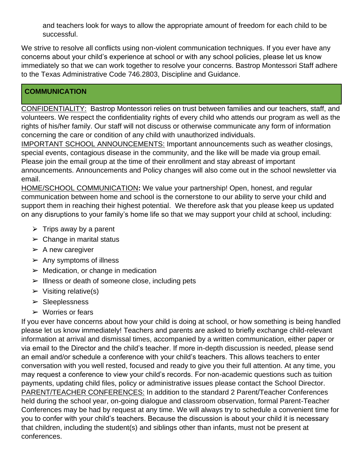and teachers look for ways to allow the appropriate amount of freedom for each child to be successful.

We strive to resolve all conflicts using non-violent communication techniques. If you ever have any concerns about your child's experience at school or with any school policies, please let us know immediately so that we can work together to resolve your concerns. Bastrop Montessori Staff adhere to the Texas Administrative Code 746.2803, Discipline and Guidance.

# **COMMUNICATION**

CONFIDENTIALITY: Bastrop Montessori relies on trust between families and our teachers, staff, and volunteers. We respect the confidentiality rights of every child who attends our program as well as the rights of his/her family. Our staff will not discuss or otherwise communicate any form of information concerning the care or condition of any child with unauthorized individuals.

IMPORTANT SCHOOL ANNOUNCEMENTS: Important announcements such as weather closings, special events, contagious disease in the community, and the like will be made via group email. Please join the email group at the time of their enrollment and stay abreast of important announcements. Announcements and Policy changes will also come out in the school newsletter via email.

HOME/SCHOOL COMMUNICATION**:** We value your partnership! Open, honest, and regular communication between home and school is the cornerstone to our ability to serve your child and support them in reaching their highest potential. We therefore ask that you please keep us updated on any disruptions to your family's home life so that we may support your child at school, including:

- $\triangleright$  Trips away by a parent
- $\triangleright$  Change in marital status
- $\triangleright$  A new caregiver
- $\triangleright$  Any symptoms of illness
- $\triangleright$  Medication, or change in medication
- $\triangleright$  Illness or death of someone close, including pets
- $\triangleright$  Visiting relative(s)
- ➢ Sleeplessness
- $\triangleright$  Worries or fears

If you ever have concerns about how your child is doing at school, or how something is being handled please let us know immediately! Teachers and parents are asked to briefly exchange child-relevant information at arrival and dismissal times, accompanied by a written communication, either paper or via email to the Director and the child's teacher. If more in-depth discussion is needed, please send an email and/or schedule a conference with your child's teachers. This allows teachers to enter conversation with you well rested, focused and ready to give you their full attention. At any time, you may request a conference to view your child's records. For non-academic questions such as tuition payments, updating child files, policy or administrative issues please contact the School Director. PARENT/TEACHER CONFERENCES: In addition to the standard 2 Parent/Teacher Conferences held during the school year, on-going dialogue and classroom observation, formal Parent-Teacher Conferences may be had by request at any time. We will always try to schedule a convenient time for you to confer with your child's teachers. Because the discussion is about your child it is necessary that children, including the student(s) and siblings other than infants, must not be present at conferences.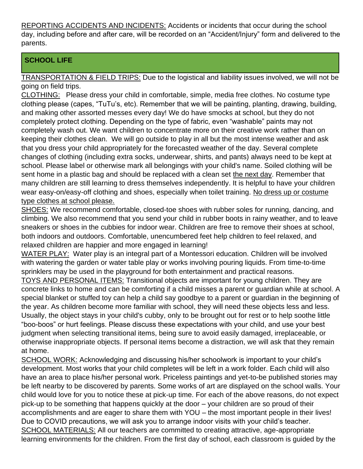REPORTING ACCIDENTS AND INCIDENTS: Accidents or incidents that occur during the school day, including before and after care, will be recorded on an "Accident/Injury" form and delivered to the parents.

# **SCHOOL LIFE**

TRANSPORTATION & FIELD TRIPS: Due to the logistical and liability issues involved, we will not be going on field trips.

CLOTHING: Please dress your child in comfortable, simple, media free clothes. No costume type clothing please (capes, "TuTu's, etc). Remember that we will be painting, planting, drawing, building, and making other assorted messes every day! We do have smocks at school, but they do not completely protect clothing. Depending on the type of fabric, even "washable" paints may not completely wash out. We want children to concentrate more on their creative work rather than on keeping their clothes clean. We will go outside to play in all but the most intense weather and ask that you dress your child appropriately for the forecasted weather of the day. Several complete changes of clothing (including extra socks, underwear, shirts, and pants) always need to be kept at school. Please label or otherwise mark all belongings with your child's name. Soiled clothing will be sent home in a plastic bag and should be replaced with a clean set the next day. Remember that many children are still learning to dress themselves independently. It is helpful to have your children wear easy-on/easy-off clothing and shoes, especially when toilet training. No dress up or costume type clothes at school please.

SHOES: We recommend comfortable, closed-toe shoes with rubber soles for running, dancing, and climbing. We also recommend that you send your child in rubber boots in rainy weather, and to leave sneakers or shoes in the cubbies for indoor wear. Children are free to remove their shoes at school, both indoors and outdoors. Comfortable, unencumbered feet help children to feel relaxed, and relaxed children are happier and more engaged in learning!

WATER PLAY:Water play is an integral part of a Montessori education. Children will be involved with watering the garden or water table play or works involving pouring liquids. From time-to-time sprinklers may be used in the playground for both entertainment and practical reasons.

TOYS AND PERSONAL ITEMS: Transitional objects are important for young children. They are concrete links to home and can be comforting if a child misses a parent or guardian while at school. A special blanket or stuffed toy can help a child say goodbye to a parent or guardian in the beginning of the year. As children become more familiar with school, they will need these objects less and less. Usually, the object stays in your child's cubby, only to be brought out for rest or to help soothe little "boo-boos" or hurt feelings. Please discuss these expectations with your child, and use your best judgment when selecting transitional items, being sure to avoid easily damaged, irreplaceable, or otherwise inappropriate objects. If personal items become a distraction, we will ask that they remain at home.

SCHOOL WORK: Acknowledging and discussing his/her schoolwork is important to your child's development. Most works that your child completes will be left in a work folder. Each child will also have an area to place his/her personal work. Priceless paintings and yet-to-be published stories may be left nearby to be discovered by parents. Some works of art are displayed on the school walls. Your child would love for you to notice these at pick-up time. For each of the above reasons, do not expect pick-up to be something that happens quickly at the door – your children are so proud of their accomplishments and are eager to share them with YOU – the most important people in their lives! Due to COVID precautions, we will ask you to arrange indoor visits with your child's teacher. SCHOOL MATERIALS: All our teachers are committed to creating attractive, age-appropriate learning environments for the children. From the first day of school, each classroom is guided by the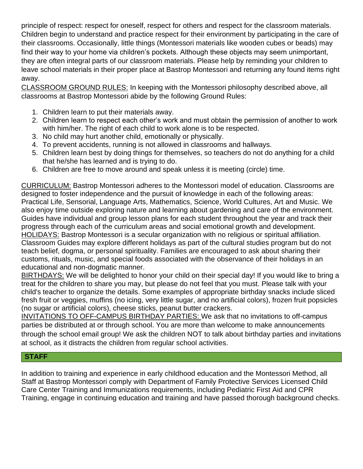principle of respect: respect for oneself, respect for others and respect for the classroom materials. Children begin to understand and practice respect for their environment by participating in the care of their classrooms. Occasionally, little things (Montessori materials like wooden cubes or beads) may find their way to your home via children's pockets. Although these objects may seem unimportant, they are often integral parts of our classroom materials. Please help by reminding your children to leave school materials in their proper place at Bastrop Montessori and returning any found items right away.

CLASSROOM GROUND RULES: In keeping with the Montessori philosophy described above, all classrooms at Bastrop Montessori abide by the following Ground Rules:

- 1. Children learn to put their materials away.
- 2. Children learn to respect each other's work and must obtain the permission of another to work with him/her. The right of each child to work alone is to be respected.
- 3. No child may hurt another child, emotionally or physically.
- 4. To prevent accidents, running is not allowed in classrooms and hallways.
- 5. Children learn best by doing things for themselves, so teachers do not do anything for a child that he/she has learned and is trying to do.
- 6. Children are free to move around and speak unless it is meeting (circle) time.

CURRICULUM: Bastrop Montessori adheres to the Montessori model of education. Classrooms are designed to foster independence and the pursuit of knowledge in each of the following areas: Practical Life, Sensorial, Language Arts, Mathematics, Science, World Cultures, Art and Music. We also enjoy time outside exploring nature and learning about gardening and care of the environment. Guides have individual and group lesson plans for each student throughout the year and track their progress through each of the curriculum areas and social emotional growth and development. HOLIDAYS: Bastrop Montessori is a secular organization with no religious or spiritual affiliation. Classroom Guides may explore different holidays as part of the cultural studies program but do not teach belief, dogma, or personal spirituality. Families are encouraged to ask about sharing their customs, rituals, music, and special foods associated with the observance of their holidays in an educational and non-dogmatic manner.

BIRTHDAYS: We will be delighted to honor your child on their special day! If you would like to bring a treat for the children to share you may, but please do not feel that you must. Please talk with your child's teacher to organize the details. Some examples of appropriate birthday snacks include sliced fresh fruit or veggies, muffins (no icing, very little sugar, and no artificial colors), frozen fruit popsicles (no sugar or artificial colors), cheese sticks, peanut butter crackers.

INVITATIONS TO OFF-CAMPUS BIRTHDAY PARTIES: We ask that no invitations to off-campus parties be distributed at or through school. You are more than welcome to make announcements through the school email group! We ask the children NOT to talk about birthday parties and invitations at school, as it distracts the children from regular school activities.

## **STAFF**

In addition to training and experience in early childhood education and the Montessori Method, all Staff at Bastrop Montessori comply with Department of Family Protective Services Licensed Child Care Center Training and Immunizations requirements, including Pediatric First Aid and CPR Training, engage in continuing education and training and have passed thorough background checks.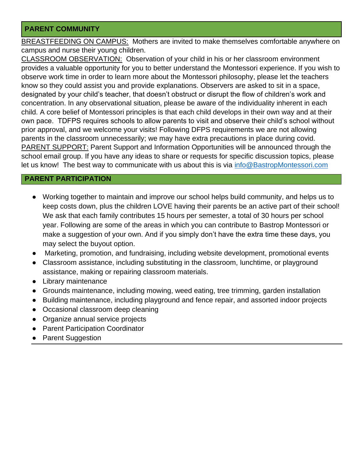## **PARENT COMMUNITY**

BREASTFEEDING ON CAMPUS:Mothers are invited to make themselves comfortable anywhere on campus and nurse their young children.

CLASSROOM OBSERVATION:Observation of your child in his or her classroom environment provides a valuable opportunity for you to better understand the Montessori experience. If you wish to observe work time in order to learn more about the Montessori philosophy, please let the teachers know so they could assist you and provide explanations. Observers are asked to sit in a space, designated by your child's teacher, that doesn't obstruct or disrupt the flow of children's work and concentration. In any observational situation, please be aware of the individuality inherent in each child. A core belief of Montessori principles is that each child develops in their own way and at their own pace. TDFPS requires schools to allow parents to visit and observe their child's school without prior approval, and we welcome your visits! Following DFPS requirements we are not allowing parents in the classroom unnecessarily; we may have extra precautions in place during covid. PARENT SUPPORT: Parent Support and Information Opportunities will be announced through the school email group. If you have any ideas to share or requests for specific discussion topics, please let us know! The best way to communicate with us about this is via info@BastropMontessori.com

## **PARENT PARTICIPATION**

- Working together to maintain and improve our school helps build community, and helps us to keep costs down, plus the children LOVE having their parents be an active part of their school! We ask that each family contributes 15 hours per semester, a total of 30 hours per school year. Following are some of the areas in which you can contribute to Bastrop Montessori or make a suggestion of your own. And if you simply don't have the extra time these days, you may select the buyout option.
- Marketing, promotion, and fundraising, including website development, promotional events
- Classroom assistance, including substituting in the classroom, lunchtime, or playground assistance, making or repairing classroom materials.
- Library maintenance
- Grounds maintenance, including mowing, weed eating, tree trimming, garden installation
- Building maintenance, including playground and fence repair, and assorted indoor projects
- Occasional classroom deep cleaning
- Organize annual service projects
- **Parent Participation Coordinator**
- **Parent Suggestion**